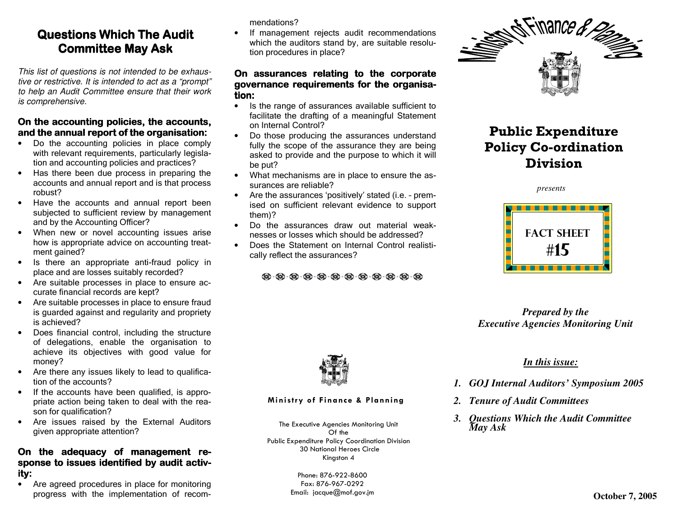# Questions Which The Audit **Committee May Ask**

This list of questions is not intended to be exhaus tive or restrictive. It is intended to act as a "prompt" to help an Audit Committee ensure that their work is comprehensive.

## On the accounting policies, the accounts, and the annual report of the organisation:

- Do the accounting policies in place comply with relevant requirements, particularly legislation and accounting policies and practices?
- Has there been due process in preparing the accounts and annual report and is that process robust?
- Have the accounts and annual report been subjected to sufficient review by management and by the Accounting Officer?
- When new or novel accounting issues arise how is appropriate advice on accounting treatment gained?
- Is there an appropriate anti-fraud policy in place and are losses suitably recorded?
- Are suitable processes in place to ensure accurate financial records are kept?
- Are suitable processes in place to ensure fraud is guarded against and regularity and propriety is achieved?
- Does financial control, including the structure of delegations, enable the organisation to achieve its objectives with good value for money?
- Are there any issues likely to lead to qualification of the accounts?
- If the accounts have been qualified, is appropriate action being taken to deal with the reason for qualification?
- Are issues raised by the External Auditors given appropriate attention?

### On the adequacy of management response to issues identified by audit activity:

 $\bullet$ Are agreed procedures in place for monitoring progress with the implementation of recommendations?

 • If management rejects audit recommendations which the auditors stand by, are suitable resolution procedures in place?

#### On assurances relating to the corporate governance requirements for the organisation:

- Is the range of assurances available sufficient to facilitate the drafting of a meaningful Statement on Internal Control?
- Do those producing the assurances understand fully the scope of the assurance they are being asked to provide and the purpose to which it will be put?
- What mechanisms are in place to ensure the assurances are reliable?
- Are the assurances 'positively' stated (i.e. prem ised on sufficient relevant evidence to support them)?
- Do the assurances draw out material weaknesses or losses which should be addressed?
- Does the Statement on Internal Control realistically reflect the assurances?

**@ @ @ @ @ @ @ @ @ @ @** 



# Public Expenditure Policy Co-ordination Division

*presents*



*Prepared by the Executive Agencies Monitoring Unit* 



#### Ministry of Finance & Planning

The Executive Agencies Monitoring Unit<br>Of the<br>Public Expenditure Policy Coordination Division<br>30 National Heroes Circle<br>Kingston 4<br>Phone: 876-922-8600<br>Fax: 876-967-0292<br>Email: jacque@mof.gov.jm

## *In this issue:*

- *1. GOJ Internal Auditors' Symposium 2005*
- *2. Tenure of Audit Committees*
- *3. Questions Which the Audit Committee May Ask*